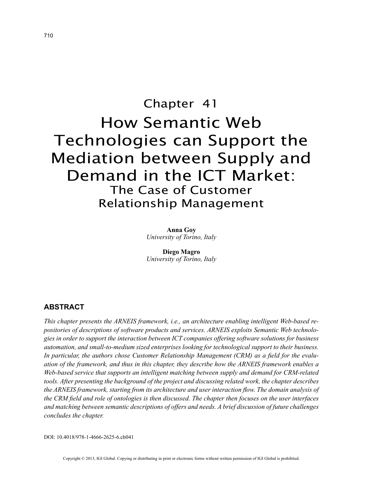# Chapter 41 How Semantic Web Technologies can Support the Mediation between Supply and Demand in the ICT Market: The Case of Customer Relationship Management

**Anna Goy** *University of Torino, Italy*

**Diego Magro** *University of Torino, Italy*

# **ABSTRACT**

*This chapter presents the ARNEIS framework, i.e., an architecture enabling intelligent Web-based repositories of descriptions of software products and services. ARNEIS exploits Semantic Web technologies in order to support the interaction between ICT companies offering software solutions for business automation, and small-to-medium sized enterprises looking for technological support to their business. In particular, the authors chose Customer Relationship Management (CRM) as a field for the evaluation of the framework, and thus in this chapter, they describe how the ARNEIS framework enables a Web-based service that supports an intelligent matching between supply and demand for CRM-related tools. After presenting the background of the project and discussing related work, the chapter describes the ARNEIS framework, starting from its architecture and user interaction flow. The domain analysis of the CRM field and role of ontologies is then discussed. The chapter then focuses on the user interfaces and matching between semantic descriptions of offers and needs. A brief discussion of future challenges concludes the chapter.*

DOI: 10.4018/978-1-4666-2625-6.ch041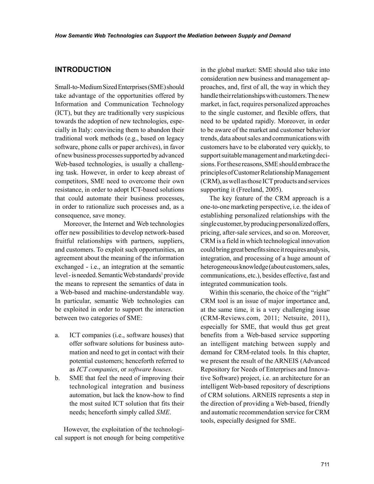## **INTRODUCTION**

Small-to-Medium Sized Enterprises (SME) should take advantage of the opportunities offered by Information and Communication Technology (ICT), but they are traditionally very suspicious towards the adoption of new technologies, especially in Italy: convincing them to abandon their traditional work methods (e.g., based on legacy software, phone calls or paper archives), in favor of new business processes supported by advanced Web-based technologies, is usually a challenging task. However, in order to keep abreast of competitors, SME need to overcome their own resistance, in order to adopt ICT-based solutions that could automate their business processes, in order to rationalize such processes and, as a consequence, save money.

Moreover, the Internet and Web technologies offer new possibilities to develop network-based fruitful relationships with partners, suppliers, and customers. To exploit such opportunities, an agreement about the meaning of the information exchanged - i.e., an integration at the semantic level - is needed. Semantic Web standards<sup>1</sup> provide the means to represent the semantics of data in a Web-based and machine-understandable way. In particular, semantic Web technologies can be exploited in order to support the interaction between two categories of SME:

- a. ICT companies (i.e., software houses) that offer software solutions for business automation and need to get in contact with their potential customers; henceforth referred to as *ICT companies*, or *software houses*.
- b. SME that feel the need of improving their technological integration and business automation, but lack the know-how to find the most suited ICT solution that fits their needs; henceforth simply called *SME*.

However, the exploitation of the technological support is not enough for being competitive

in the global market: SME should also take into consideration new business and management approaches, and, first of all, the way in which they handle their relationships with customers. The new market, in fact, requires personalized approaches to the single customer, and flexible offers, that need to be updated rapidly. Moreover, in order to be aware of the market and customer behavior trends, data about sales and communications with customers have to be elaborated very quickly, to support suitable management and marketing decisions. For these reasons, SME should embrace the principles of Customer Relationship Management (CRM), as well as those ICT products and services supporting it (Freeland, 2005).

The key feature of the CRM approach is a one-to-one marketing perspective, i.e. the idea of establishing personalized relationships with the single customer, by producing personalized offers, pricing, after-sale services, and so on. Moreover, CRM is a field in which technological innovation could bring great benefits since it requires analysis, integration, and processing of a huge amount of heterogeneous knowledge (about customers, sales, communications, etc.), besides effective, fast and integrated communication tools.

Within this scenario, the choice of the "right" CRM tool is an issue of major importance and, at the same time, it is a very challenging issue (CRM-Reviews.com, 2011; Netsuite, 2011), especially for SME, that would thus get great benefits from a Web-based service supporting an intelligent matching between supply and demand for CRM-related tools. In this chapter, we present the result of the ARNEIS (Advanced Repository for Needs of Enterprises and Innovative Software) project, i.e. an architecture for an intelligent Web-based repository of descriptions of CRM solutions. ARNEIS represents a step in the direction of providing a Web-based, friendly and automatic recommendation service for CRM tools, especially designed for SME.